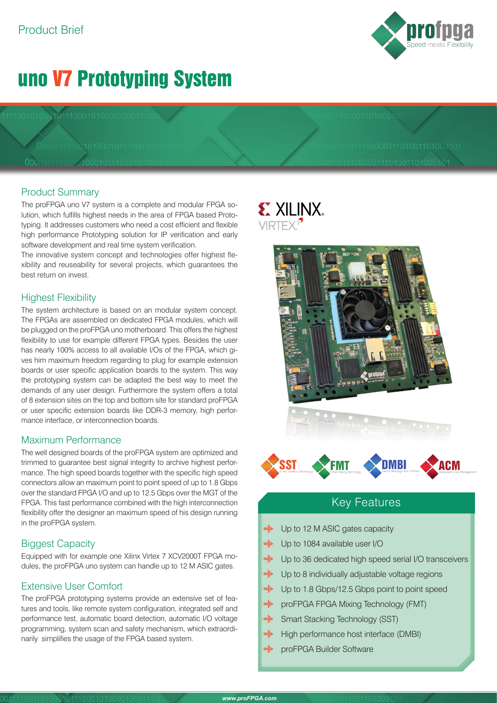# uno V7 Prototyping System

## Product Summary

The proFPGA uno V7 system is a complete and modular FPGA solution, which fulfills highest needs in the area of FPGA based Prototyping. It addresses customers who need a cost efficient and flexible high performance Prototyping solution for IP verification and early software development and real time system verification.

The innovative system concept and technologies offer highest flexibility and reuseability for several projects, which guarantees the best return on invest.

## Highest Flexibility

The system architecture is based on an modular system concept. The FPGAs are assembled on dedicated FPGA modules, which will be plugged on the proFPGA uno motherboard. This offers the highest flexibility to use for example different FPGA types. Besides the user has nearly 100% access to all available I/Os of the FPGA, which gives him maximum freedom regarding to plug for example extension boards or user specific application boards to the system. This way the prototyping system can be adapted the best way to meet the demands of any user design. Furthermore the system offers a total of 8 extension sites on the top and bottom site for standard proFPGA or user specific extension boards like DDR-3 memory, high performance interface, or interconnection boards.

## Maximum Performance

The well designed boards of the proFPGA system are optimized and trimmed to guarantee best signal integrity to archive highest performance. The high speed boards together with the specific high speed connectors allow an maximum point to point speed of up to 1.8 Gbps over the standard FPGA I/O and up to 12.5 Gbps over the MGT of the FPGA. This fast performance combined with the high interconnection flexibility offer the designer an maximum speed of his design running in the proFPGA system.

## Biggest Capacity

Equipped with for example one Xilinx Virtex 7 XCV2000T FPGA modules, the proFPGA uno system can handle up to 12 M ASIC gates.

## Extensive User Comfort

The proFPGA prototyping systems provide an extensive set of features and tools, like remote system configuration, integrated self and performance test, automatic board detection, automatic I/O voltage programming, system scan and safety mechanism, which extraordinarily simplifies the usage of the FPGA based system.

# **EXILINX**  $VIRTFX<sup>7</sup>$





## Key Features

- · Up to 12 M ASIC gates capacity
- Up to 1084 available user I/O
- mija Up to 36 dedicated high speed serial I/O transceivers
- $m_{\rm H}^2$ Up to 8 individually adjustable voltage regions
- $\min_i$ Up to 1.8 Gbps/12.5 Gbps point to point speed
- mija proFPGA FPGA Mixing Technology (FMT)
- mija Smart Stacking Technology (SST)
- $\begin{aligned} \mathbf{m}_{\mathbf{S}}^{\mathbf{S}}\mathbf{b} \end{aligned}$ High performance host interface (DMBI)
- milis proFPGA Builder Software